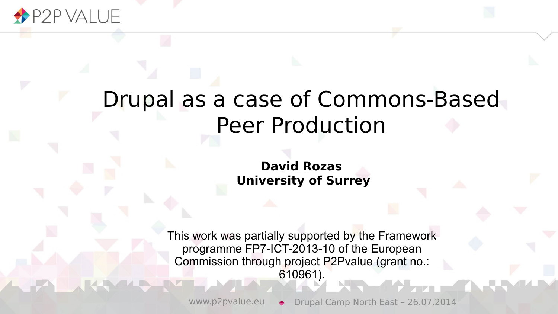

#### Drupal as a case of Commons-Based Peer Production

**David Rozas University of Surrey**

This work was partially supported by the Framework programme FP7-ICT-2013-10 of the European Commission through project P2Pvalue (grant no.: 610961).

www.p2pvalue.eu → Drupal Camp North East - 26.07.2014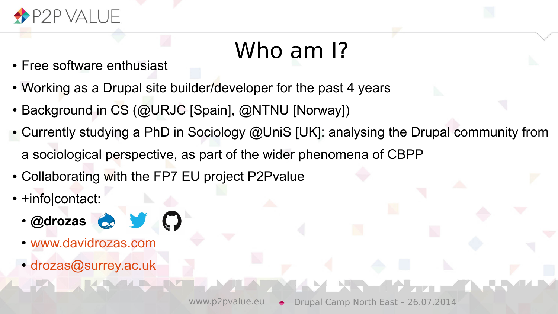

# Who am I?

- Free software enthusiast
- Working as a Drupal site builder/developer for the past 4 years
- Background in CS (@URJC [Spain], @NTNU [Norway])
- Currently studying a PhD in Sociology @UniS [UK]: analysing the Drupal community from a sociological perspective, as part of the wider phenomena of CBPP
- Collaborating with the FP7 EU project P2Pvalue
- +info|contact:
	- **@drozas**
	- [www.davidrozas.com](http://www.davidrozas.com/)
	- [drozas@surrey.ac.uk](mailto:drozas@surrey.ac.uk)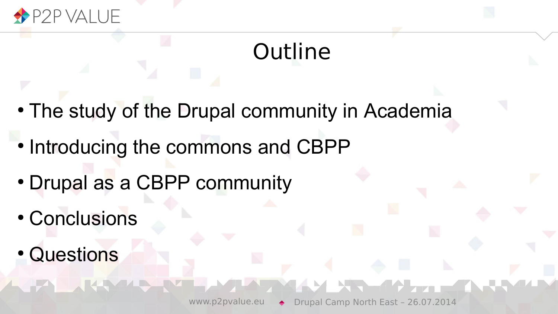

# **Outline**

- The study of the Drupal community in Academia
- Introducing the commons and CBPP
- Drupal as a CBPP community
- Conclusions
- **Questions**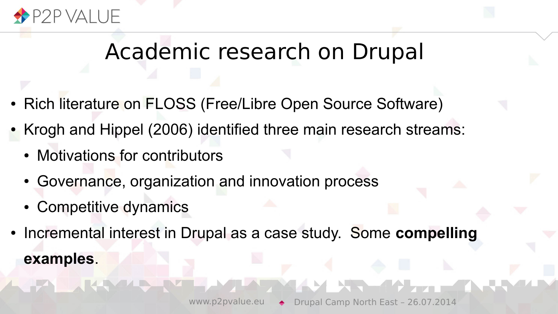

## Academic research on Drupal

- Rich literature on FLOSS (Free/Libre Open Source Software)
- Krogh and Hippel (2006) identified three main research streams:
	- Motivations for contributors
	- Governance, organization and innovation process
	- Competitive dynamics
- Incremental interest in Drupal as a case study. Some **compelling examples**.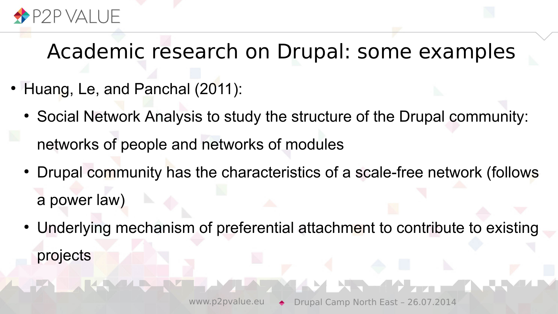

- Huang, Le, and Panchal (2011):
	- Social Network Analysis to study the structure of the Drupal community: networks of people and networks of modules
	- Drupal community has the characteristics of a scale-free network (follows a power law)
	- Underlying mechanism of preferential attachment to contribute to existing projects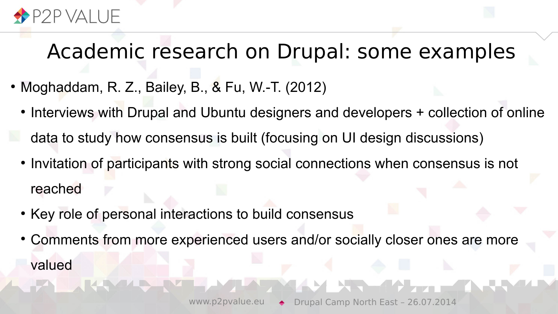

- $\bullet$  Moghaddam, R. Z., Bailey, B., & Fu, W.-T. (2012)
	- Interviews with Drupal and Ubuntu designers and developers + collection of online
	- data to study how consensus is built (focusing on UI design discussions)
	- Invitation of participants with strong social connections when consensus is not reached
	- Key role of personal interactions to build consensus
	- Comments from more experienced users and/or socially closer ones are more valued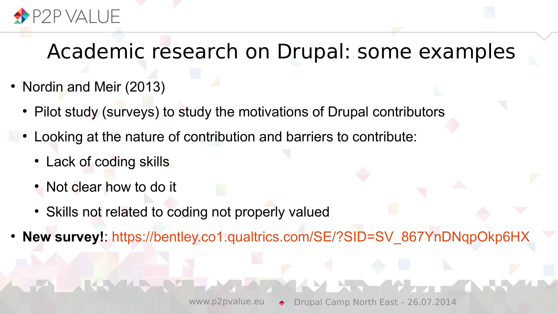

- Nordin and Meir (2013)
	- Pilot study (surveys) to study the motivations of Drupal contributors
	- Looking at the nature of contribution and barriers to contribute:
		- Lack of coding skills
		- Not clear how to do it
		- Skills not related to coding not properly valued
- **New survey!**: [https://bentley.co1.qualtrics.com/SE/?SID=SV\\_867YnDNqpOkp6HX](https://bentley.co1.qualtrics.com/SE/?SID=SV_867YnDNqpOkp6HX)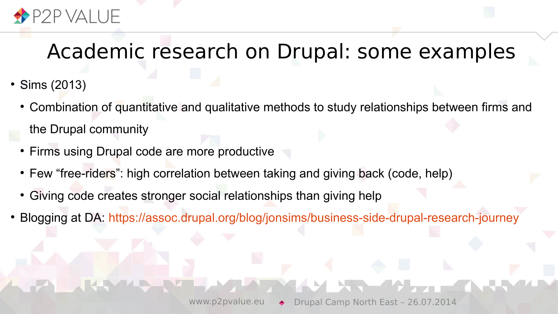

- $\cdot$  Sims (2013)
	- Combination of quantitative and qualitative methods to study relationships between firms and the Drupal community
	- Firms using Drupal code are more productive
	- Few "free-riders": high correlation between taking and giving back (code, help)
	- Giving code creates stronger social relationships than giving help
- Blogging at DA: <https://assoc.drupal.org/blog/jonsims/business-side-drupal-research-journey>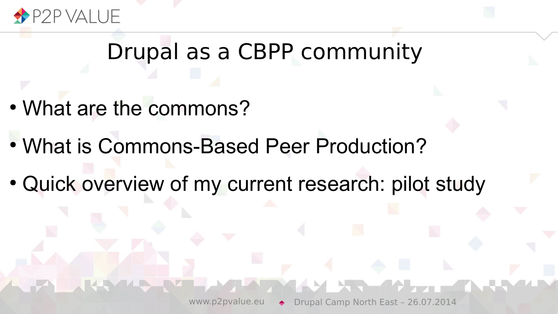

#### Drupal as a CBPP community

- What are the commons?
- What is Commons-Based Peer Production?
- Quick overview of my current research: pilot study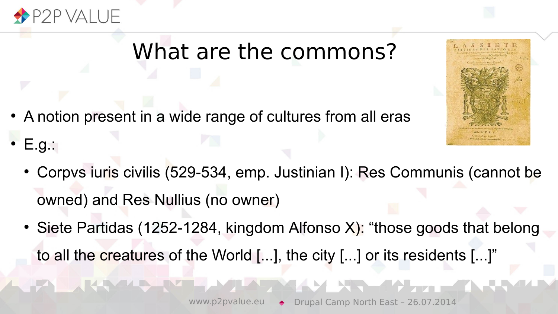

- A notion present in a wide range of cultures from all eras
- $E.g.:$ 
	- Corpvs iuris civilis (529-534, emp. Justinian I): Res Communis (cannot be owned) and Res Nullius (no owner)
	- Siete Partidas (1252-1284, kingdom Alfonso X): "those goods that belong to all the creatures of the World [...], the city [...] or its residents [...]"

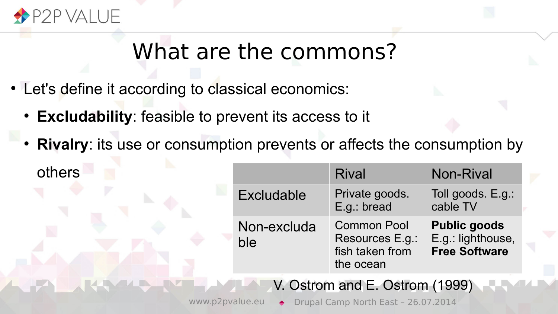

- Let's define it according to classical economics:
	- **Excludability**: feasible to prevent its access to it
	- **Rivalry**: its use or consumption prevents or affects the consumption by others

|                    | <b>Rival</b>                                                          | <b>Non-Rival</b>                                                 |
|--------------------|-----------------------------------------------------------------------|------------------------------------------------------------------|
| <b>Excludable</b>  | Private goods.<br>E.g.: bread                                         | Toll goods. E.g.:<br>cable TV                                    |
| Non-excluda<br>ble | <b>Common Pool</b><br>Resources E.g.:<br>fish taken from<br>the ocean | <b>Public goods</b><br>E.g.: lighthouse,<br><b>Free Software</b> |

V. Ostrom and E. Ostrom (1999)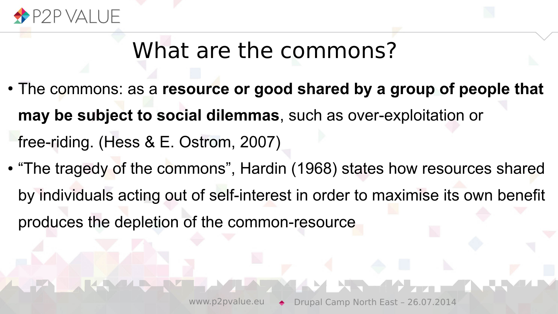

- The commons: as a **resource or good shared by a group of people that may be subject to social dilemmas**, such as over-exploitation or free-riding. (Hess & E. Ostrom, 2007)
- "The tragedy of the commons", Hardin (1968) states how resources shared by individuals acting out of self-interest in order to maximise its own benefit produces the depletion of the common-resource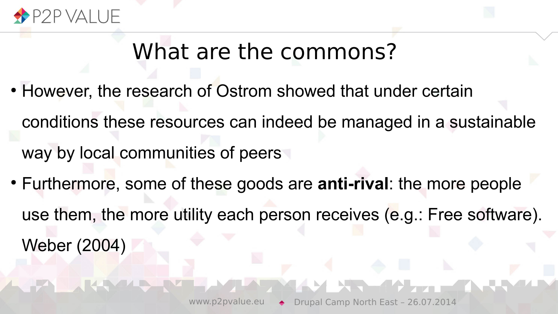

- However, the research of Ostrom showed that under certain conditions these resources can indeed be managed in a sustainable way by local communities of peers
- Furthermore, some of these goods are **anti-rival**: the more people use them, the more utility each person receives (e.g.: Free software). Weber (2004)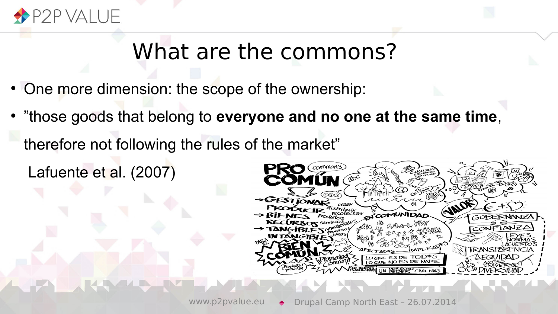

- One more dimension: the scope of the ownership:
- "those goods that belong to **everyone and no one at the same time**,
	- therefore not following the rules of the market"
		- Lafuente et al. (2007)

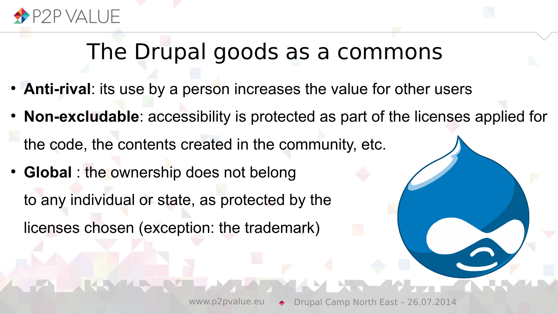

#### The Drupal goods as a commons

- **Anti-rival**: its use by a person increases the value for other users
- **Non-excludable**: accessibility is protected as part of the licenses applied for
- the code, the contents created in the community, etc.
- **Global** : the ownership does not belong to any individual or state, as protected by the licenses chosen (exception: the trademark)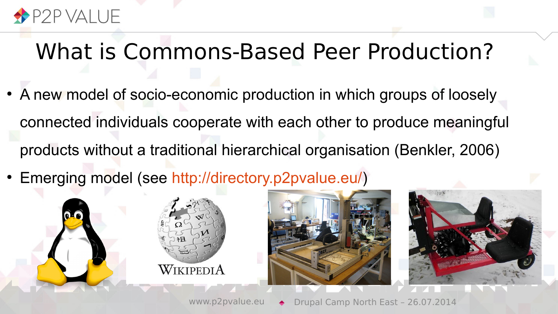

#### What is Commons-Based Peer Production?

- A new model of socio-economic production in which groups of loosely connected individuals cooperate with each other to produce meaningful products without a traditional hierarchical organisation (Benkler, 2006)
- Emerging model (see [http://directory.p2pvalue.eu/\)](http://directory.p2pvalue.eu/)





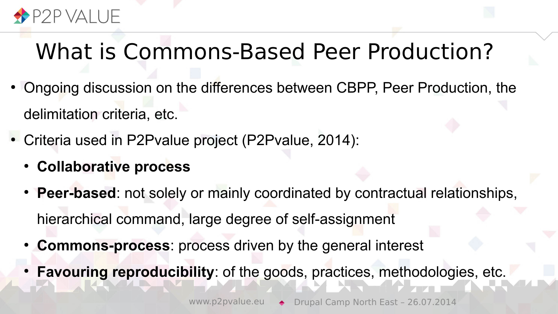

# What is Commons-Based Peer Production?

- Ongoing discussion on the differences between CBPP, Peer Production, the delimitation criteria, etc.
- Criteria used in P2Pvalue project (P2Pvalue, 2014):
	- **Collaborative process**
	- **Peer-based**: not solely or mainly coordinated by contractual relationships, hierarchical command, large degree of self-assignment
	- **Commons-process**: process driven by the general interest
	- **Favouring reproducibility**: of the goods, practices, methodologies, etc.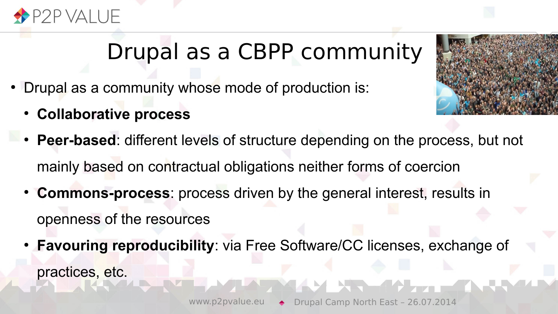

# Drupal as a CBPP community

- Drupal as a community whose mode of production is:
	- **Collaborative process**



- **Peer-based:** different levels of structure depending on the process, but not mainly based on contractual obligations neither forms of coercion
- **Commons-process**: process driven by the general interest, results in openness of the resources
- **Favouring reproducibility**: via Free Software/CC licenses, exchange of practices, etc.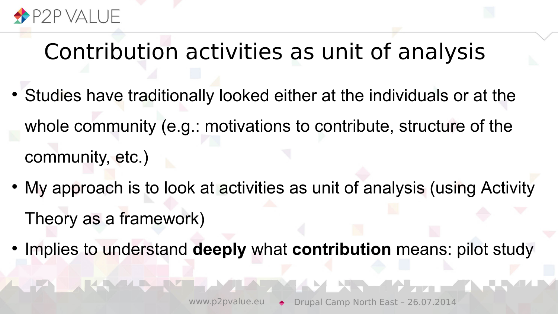

# Contribution activities as unit of analysis

- Studies have traditionally looked either at the individuals or at the whole community (e.g.: motivations to contribute, structure of the community, etc.)
- My approach is to look at activities as unit of analysis (using Activity Theory as a framework)
- Implies to understand **deeply** what **contribution** means: pilot study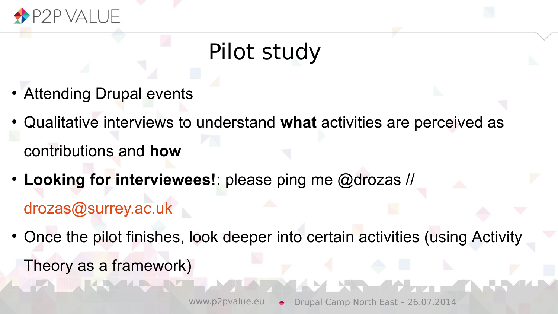

# Pilot study

- Attending Drupal events
- Qualitative interviews to understand **what** activities are perceived as contributions and **how**
- Looking for interviewees!: please ping me @drozas // [drozas@surrey.ac.uk](mailto:drozas@surrey.ac.uk)
- Once the pilot finishes, look deeper into certain activities (using Activity Theory as a framework)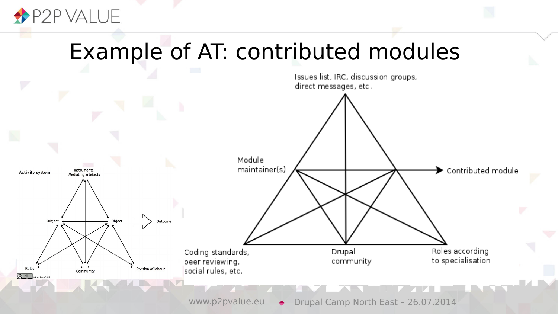

**The Second** 

#### Example of AT: contributed modules



www.p2pvalue.eu → Drupal Camp North East - 26.07.2014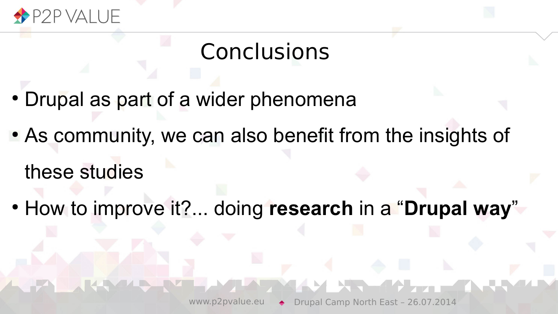

# **Conclusions**

- Drupal as part of a wider phenomena
- As community, we can also benefit from the insights of

these studies

● How to improve it?... doing **research** in a "**Drupal way**"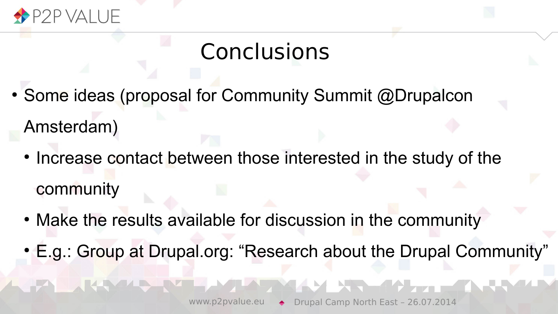

# **Conclusions**

- Some ideas (proposal for Community Summit @Drupalcon Amsterdam)
	- Increase contact between those interested in the study of the community
	- Make the results available for discussion in the community
	- E.g.: Group at Drupal.org: "Research about the Drupal Community"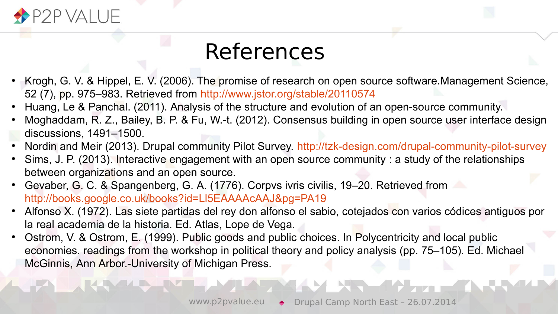

## References

- Krogh, G. V. & Hippel, E. V. (2006). The promise of research on open source software.Management Science, 52 (7), pp. 975–983. Retrieved from <http://www.jstor.org/stable/20110574>
- Huang, Le & Panchal. (2011). Analysis of the structure and evolution of an open-source community.
- Moghaddam, R. Z., Bailey, B. P. & Fu, W.-t. (2012). Consensus building in open source user interface design discussions, 1491–1500.
- Nordin and Meir (2013). Drupal community Pilot Survey. <http://tzk-design.com/drupal-community-pilot-survey>
- Sims, J. P. (2013). Interactive engagement with an open source community : a study of the relationships between organizations and an open source.
- Gevaber, G. C. & Spangenberg, G. A. (1776). Corpvs ivris civilis, 19–20. Retrieved from <http://books.google.co.uk/books?id=Ll5EAAAAcAAJ&pg=PA19>
- Alfonso X. (1972). Las siete partidas del rey don alfonso el sabio, cotejados con varios códices antiguos por la real academia de la historia. Ed. Atlas, Lope de Vega.
- Ostrom, V. & Ostrom, E. (1999). Public goods and public choices. In Polycentricity and local public economies. readings from the workshop in political theory and policy analysis (pp. 75–105). Ed. Michael McGinnis, Ann Arbor.-University of Michigan Press.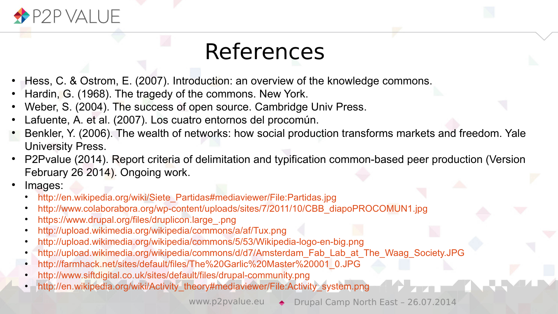

#### References

- Hess, C. & Ostrom, E. (2007). Introduction: an overview of the knowledge commons.
- Hardin, G. (1968). The tragedy of the commons. New York.
- Weber, S. (2004). The success of open source. Cambridge Univ Press.
- Lafuente, A. et al. (2007). Los cuatro entornos del procomún.
- Benkler, Y. (2006). The wealth of networks: how social production transforms markets and freedom. Yale University Press.
- P2Pvalue (2014). Report criteria of delimitation and typification common-based peer production (Version February 26 2014). Ongoing work.
- Images:
	- [http://en.wikipedia.org/wiki/Siete\\_Partidas#mediaviewer/File:Partidas.jpg](http://en.wikipedia.org/wiki/Siete_Partidas#mediaviewer/File:Partidas.jpg)
	- [http://www.colaborabora.org/wp-content/uploads/sites/7/2011/10/CBB\\_diapoPROCOMUN1.jpg](http://www.colaborabora.org/wp-content/uploads/sites/7/2011/10/CBB_diapoPROCOMUN1.jpg)
	- [https://www.drupal.org/files/druplicon.large\\_.png](https://www.drupal.org/files/druplicon.large_.png)
	- <http://upload.wikimedia.org/wikipedia/commons/a/af/Tux.png>
	- <http://upload.wikimedia.org/wikipedia/commons/5/53/Wikipedia-logo-en-big.png>
	- [http://upload.wikimedia.org/wikipedia/commons/d/d7/Amsterdam\\_Fab\\_Lab\\_at\\_The\\_Waag\\_Society.JPG](http://upload.wikimedia.org/wikipedia/commons/d/d7/Amsterdam_Fab_Lab_at_The_Waag_Society.JPG)
	- [http://farmhack.net/sites/default/files/The%20Garlic%20Master%20001\\_0.JPG](http://farmhack.net/sites/default/files/The%20Garlic%20Master%20001_0.JPG)
	- <http://www.siftdigital.co.uk/sites/default/files/drupal-community.png>
	- [http://en.wikipedia.org/wiki/Activity\\_theory#mediaviewer/File:Activity\\_system.png](http://en.wikipedia.org/wiki/Activity_theory#mediaviewer/File:Activity_system.png)